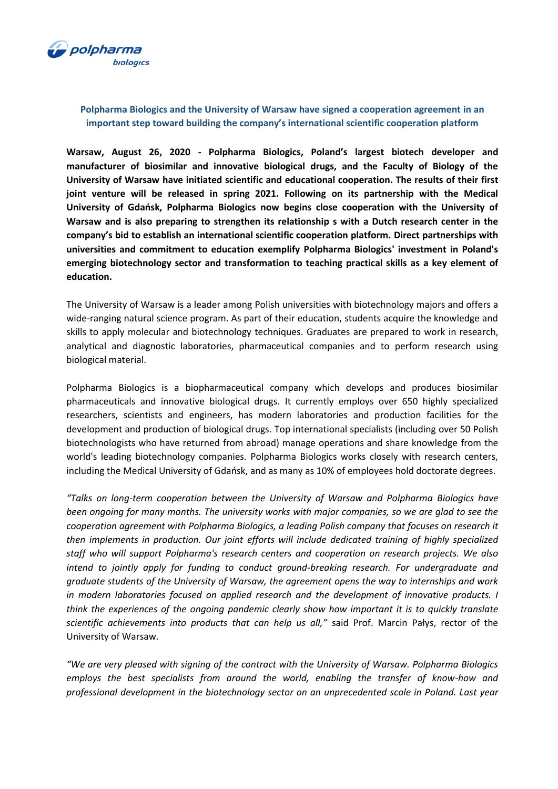

## **Polpharma Biologics and the University of Warsaw have signed a cooperation agreement in an important step toward building the company's international scientific cooperation platform**

**Warsaw, August 26, 2020 - Polpharma Biologics, Poland's largest biotech developer and manufacturer of biosimilar and innovative biological drugs, and the Faculty of Biology of the University of Warsaw have initiated scientific and educational cooperation. The results of their first joint venture will be released in spring 2021. Following on its partnership with the Medical University of Gdańsk, Polpharma Biologics now begins close cooperation with the University of Warsaw and is also preparing to strengthen its relationship s with a Dutch research center in the company's bid to establish an international scientific cooperation platform. Direct partnerships with universities and commitment to education exemplify Polpharma Biologics' investment in Poland's emerging biotechnology sector and transformation to teaching practical skills as a key element of education.** 

The University of Warsaw is a leader among Polish universities with biotechnology majors and offers a wide-ranging natural science program. As part of their education, students acquire the knowledge and skills to apply molecular and biotechnology techniques. Graduates are prepared to work in research, analytical and diagnostic laboratories, pharmaceutical companies and to perform research using biological material.

Polpharma Biologics is a biopharmaceutical company which develops and produces biosimilar pharmaceuticals and innovative biological drugs. It currently employs over 650 highly specialized researchers, scientists and engineers, has modern laboratories and production facilities for the development and production of biological drugs. Top international specialists (including over 50 Polish biotechnologists who have returned from abroad) manage operations and share knowledge from the world's leading biotechnology companies. Polpharma Biologics works closely with research centers, including the Medical University of Gdańsk, and as many as 10% of employees hold doctorate degrees.

*"Talks on long-term cooperation between the University of Warsaw and Polpharma Biologics have been ongoing for many months. The university works with major companies, so we are glad to see the cooperation agreement with Polpharma Biologics, a leading Polish company that focuses on research it then implements in production. Our joint efforts will include dedicated training of highly specialized staff who will support Polpharma's research centers and cooperation on research projects. We also intend to jointly apply for funding to conduct ground-breaking research. For undergraduate and graduate students of the University of Warsaw, the agreement opens the way to internships and work in modern laboratories focused on applied research and the development of innovative products. I think the experiences of the ongoing pandemic clearly show how important it is to quickly translate scientific achievements into products that can help us all,"* said Prof. Marcin Pałys, rector of the University of Warsaw.

*"We are very pleased with signing of the contract with the University of Warsaw. Polpharma Biologics employs the best specialists from around the world, enabling the transfer of know-how and professional development in the biotechnology sector on an unprecedented scale in Poland. Last year*